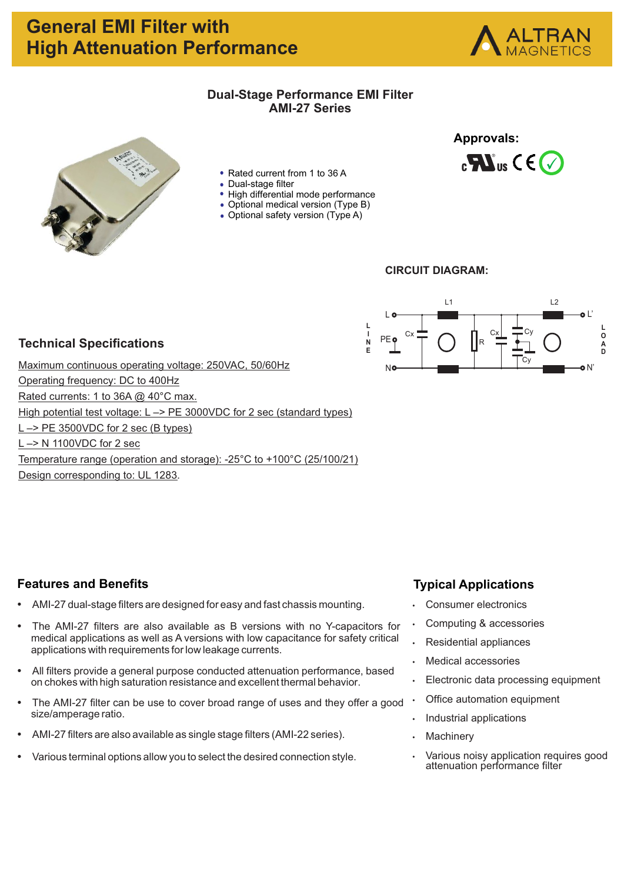# **General EMI Filter with High Attenuation Performance**



- Rated current from 1 to 36 A
- Dual-stage filter
- High differential mode performance
- Optional medical version (Type B)
- Optional safety version (Type A)

# **Approvals:**  $_{c}$  Mus C E  $\bigtriangledown$



### **CIRCUIT DIAGRAM:**



### **Technical Specifications**

Maximum continuous operating voltage: 250VAC, 50/60Hz Operating frequency: DC to 400Hz Rated currents: 1 to 36A @ 40°C max. High potential test voltage: L -> PE 3000VDC for 2 sec (standard types) L –> PE 3500VDC for 2 sec (B types) L –> N 1100VDC for 2 sec Temperature range (operation and storage): -25°C to +100°C (25/100/21) Design corresponding to: UL 1283.

### **Features and Benefits**

- AMI-27 dual-stage filters are designed for easy and fast chassis mounting.
- The AMI-27 filters are also available as B versions with no Y-capacitors for medical applications as well as A versions with low capacitance for safety critical applications with requirements for low leakage currents.
- All filters provide a general purpose conducted attenuation performance, based on chokes with high saturation resistance and excellent thermal behavior.
- The AMI-27 filter can be use to cover broad range of uses and they offer a good size/amperage ratio.
- AMI-27 filters are also available as single stage filters (AMI-22 series).
- Various terminal options allow you to select the desired connection style.

### **Typical Applications**

- Consumer electronics
- Computing & accessories
- **Residential appliances**
- **Medical accessories**
- Electronic data processing equipment
- Office automation equipment
- Industrial applications
- Machinery
- Various noisy application requires good attenuation performance filter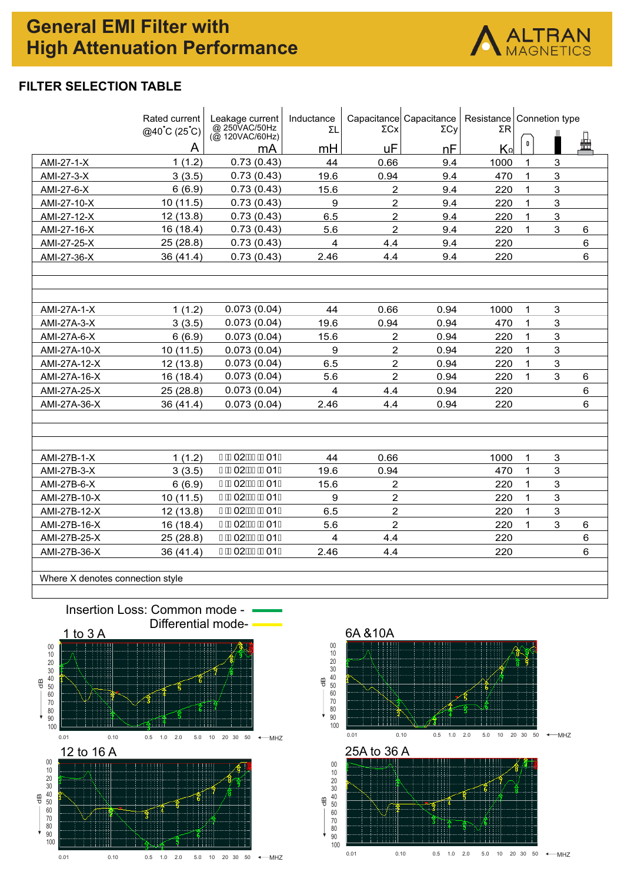# **General EMI Filter with High Attenuation Performance**



### **FILTER SELECTION TABLE**

|                                  | Rated current<br>$@40^{\circ}C(25^{\circ}C)$ | Leakage current<br>@ 250VAC/50Hz<br>$\overline{(\emptyset)}$ 120VAC/60Hz) | Inductance<br>ΣL | $\Sigma$ Cx    | Capacitance Capacitance<br>ΣCν | ΣR                      | Resistance   Connetion type |                |         |
|----------------------------------|----------------------------------------------|---------------------------------------------------------------------------|------------------|----------------|--------------------------------|-------------------------|-----------------------------|----------------|---------|
|                                  | A                                            | mA                                                                        | mH               | uF             | nF                             | $\mathsf{K}^\mathsf{o}$ | 0                           |                | 蛊       |
| AMI-27-1-X                       | 1(1.2)                                       | 0.73(0.43)                                                                | 44               | 0.66           | 9.4                            | 1000                    | 1                           | 3              |         |
| AMI-27-3-X                       | 3(3.5)                                       | 0.73(0.43)                                                                | 19.6             | 0.94           | 9.4                            | 470                     | 1                           | $\mathbf{3}$   |         |
| AMI-27-6-X                       | 6(6.9)                                       | 0.73(0.43)                                                                | 15.6             | $\overline{c}$ | 9.4                            | 220                     | $\mathbf{1}$                | $\mathbf{3}$   |         |
| AMI-27-10-X                      | 10 (11.5)                                    | 0.73(0.43)                                                                | $\boldsymbol{9}$ | $\overline{c}$ | 9.4                            | 220                     | 1                           | $\mathbf{3}$   |         |
| AMI-27-12-X                      | 12 (13.8)                                    | 0.73(0.43)                                                                | 6.5              | $\overline{2}$ | 9.4                            | 220                     | $\mathbf{1}$                | $\mathbf{3}$   |         |
| AMI-27-16-X                      | 16 (18.4)                                    | 0.73(0.43)                                                                | 5.6              | $\overline{2}$ | 9.4                            | 220                     | $\mathbf{1}$                | 3              | $\,6$   |
| AMI-27-25-X                      | 25 (28.8)                                    | 0.73(0.43)                                                                | 4                | 4.4            | 9.4                            | 220                     |                             |                | $\,6$   |
| AMI-27-36-X                      | 36 (41.4)                                    | 0.73(0.43)                                                                | 2.46             | 4.4            | 9.4                            | 220                     |                             |                | $\,6\,$ |
|                                  |                                              |                                                                           |                  |                |                                |                         |                             |                |         |
| AMI-27A-1-X                      | 1(1.2)                                       | 0.073(0.04)                                                               | 44               | 0.66           | 0.94                           | 1000                    | $\mathbf{1}$                | 3              |         |
| AMI-27A-3-X                      | 3(3.5)                                       | 0.073(0.04)                                                               | 19.6             | 0.94           | 0.94                           | 470                     | $\mathbf{1}$                | 3              |         |
| AMI-27A-6-X                      | 6(6.9)                                       | 0.073(0.04)                                                               | 15.6             | $\overline{2}$ | 0.94                           | 220                     | $\mathbf{1}$                | $\mathbf{3}$   |         |
| AMI-27A-10-X                     | 10 (11.5)                                    | 0.073(0.04)                                                               | 9                | $\overline{2}$ | 0.94                           | 220                     | $\mathbf{1}$                | $\mathbf{3}$   |         |
| AMI-27A-12-X                     | 12 (13.8)                                    | 0.073(0.04)                                                               | 6.5              | $\overline{c}$ | 0.94                           | 220                     | 1                           | $\mathbf{3}$   |         |
| AMI-27A-16-X                     | 16 (18.4)                                    | 0.073(0.04)                                                               | 5.6              | $\overline{a}$ | 0.94                           | 220                     | 1                           | $\overline{3}$ | $\,6$   |
| AMI-27A-25-X                     | 25(28.8)                                     | 0.073(0.04)                                                               | 4                | 4.4            | 0.94                           | 220                     |                             |                | 6       |
| AMI-27A-36-X                     | 36 (41.4)                                    | 0.073(0.04)                                                               | 2.46             | 4.4            | 0.94                           | 220                     |                             |                | 6       |
|                                  |                                              |                                                                           |                  |                |                                |                         |                             |                |         |
| AMI-27B-1-X                      | 1(1.2)                                       | € <b>EEO2Á €EEO1D</b>                                                     | 44               | 0.66           |                                | 1000                    | $\mathbf{1}$                | 3              |         |
| AMI-27B-3-X                      | 3(3.5)                                       | €ÈE02Á€EÈE01D                                                             | 19.6             | 0.94           |                                | 470                     | $\mathbf{1}$                | $\mathbf{3}$   |         |
| AMI-27B-6-X                      | 6(6.9)                                       | € <b>EEO2Á €EEO1D</b>                                                     | 15.6             | $\overline{2}$ |                                | 220                     | $\mathbf{1}$                | $\mathbf{3}$   |         |
| AMI-27B-10-X                     | 10 (11.5)                                    | €ÈE02Á €EÈE01D                                                            | 9                | $\overline{a}$ |                                | 220                     | 1                           | $\overline{3}$ |         |
| AMI-27B-12-X                     | 12(13.8)                                     | € <b>EEO2Á €EEO1D</b>                                                     | 6.5              | $\overline{c}$ |                                | 220                     | 1                           | $\mathbf{3}$   |         |
| AMI-27B-16-X                     | 16 (18.4)                                    | €ÈE02Á €EÈE01D                                                            | 5.6              | $\overline{2}$ |                                | 220                     | 1                           | $\mathbf{3}$   | $\,6$   |
| AMI-27B-25-X                     | 25 (28.8)                                    | € <b>EEO2Á €EEO1D</b>                                                     | 4                | 4.4            |                                | 220                     |                             |                | $\,6$   |
| AMI-27B-36-X                     | 36 (41.4)                                    | € <b>EEO2Á €EEO1D</b>                                                     | 2.46             | 4.4            |                                | 220                     |                             |                | 6       |
| Where X denotes connection style |                                              |                                                                           |                  |                |                                |                         |                             |                |         |